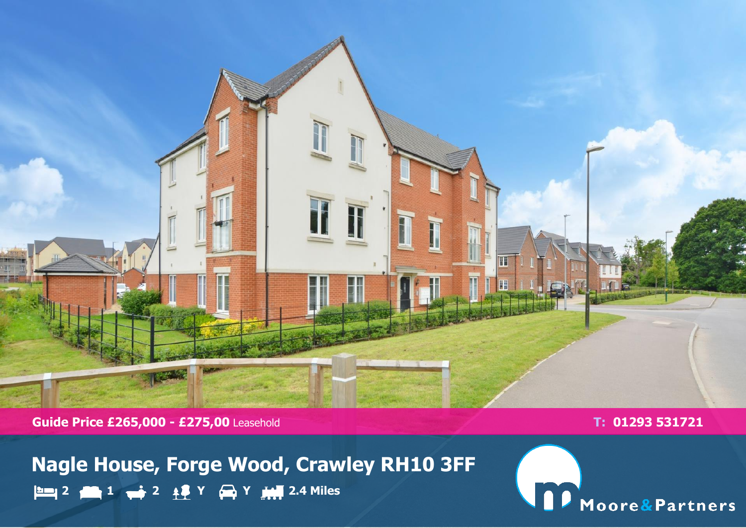

**Guide Price £265,000 - £275,00** Leasehold **T: 01293 531721** 

**Nagle House, Forge Wood, Crawley RH10 3FF 2 1 2 Y Y 2.4 Miles**

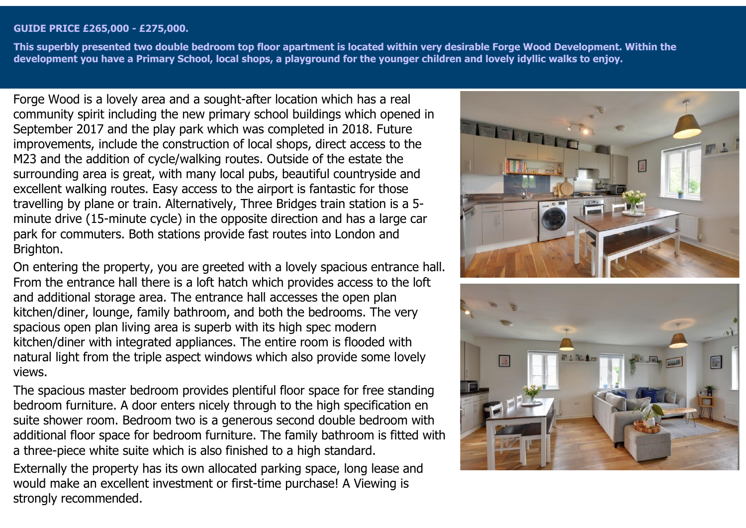## **GUIDE PRICE £265,000 - £275,000.**

**This superbly presented two double bedroom top floor apartment is located within very desirable Forge Wood Development. Within the development you have a Primary School, local shops, a playground for the younger children and lovely idyllic walks to enjoy.**

Forge Wood is a lovely area and a sought-after location which has a real community spirit including the new primary school buildings which opened in September 2017 and the play park which was completed in 2018. Future improvements, include the construction of local shops, direct access to the M23 and the addition of cycle/walking routes. Outside of the estate the surrounding area is great, with many local pubs, beautiful countryside and excellent walking routes. Easy access to the airport is fantastic for those travelling by plane or train. Alternatively, Three Bridges train station is a 5 minute drive (15-minute cycle) in the opposite direction and has a large car park for commuters. Both stations provide fast routes into London and Brighton.

On entering the property, you are greeted with a lovely spacious entrance hall. From the entrance hall there is a loft hatch which provides access to the loft and additional storage area. The entrance hall accesses the open plan kitchen/diner, lounge, family bathroom, and both the bedrooms. The very spacious open plan living area is superb with its high spec modern kitchen/diner with integrated appliances. The entire room is flooded with natural light from the triple aspect windows which also provide some lovely views.

The spacious master bedroom provides plentiful floor space for free standing bedroom furniture. A door enters nicely through to the high specification en suite shower room. Bedroom two is a generous second double bedroom with additional floor space for bedroom furniture. The family bathroom is fitted with a three-piece white suite which is also finished to a high standard.

Externally the property has its own allocated parking space, long lease and would make an excellent investment or first-time purchase! A Viewing is strongly recommended.



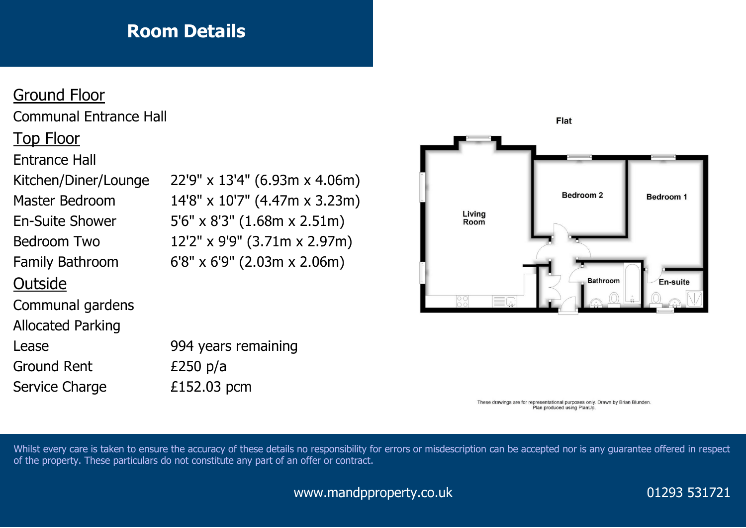## **Room Details**

## Ground Floor Communal Entrance Hall Top Floor Entrance Hall En-Suite Shower 5'6" x 8'3" (1.68m x 2.51m) Bedroom Two 12'2" x 9'9" (3.71m x 2.97m) Family Bathroom 6'8" x 6'9" (2.03m x 2.06m) **Outside** Communal gardens Allocated Parking Lease 994 years remaining Ground Rent E250 p/a Service Charge E152.03 pcm

Kitchen/Diner/Lounge 22'9" x 13'4" (6.93m x 4.06m) Master Bedroom 14'8" x 10'7" (4.47m x 3.23m)



These drawings are for representational purposes only. Drawn by Brian Blunden. Plan produced using PlanUp.

Whilst every care is taken to ensure the accuracy of these details no responsibility for errors or misdescription can be accepted nor is any guarantee offered in respect of the property. These particulars do not constitute any part of an offer or contract.

www.mandpproperty.co.uk 01293 531721